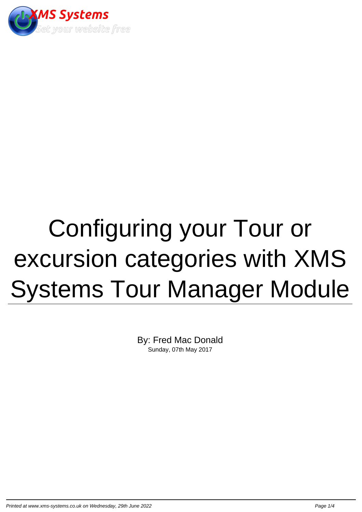

## Configuring your Tour or excursion categories with XMS Systems Tour Manager Module

By: Fred Mac Donald Sunday, 07th May 2017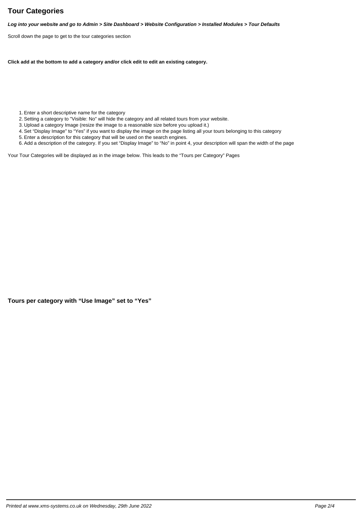## **Tour Categories**

**Log into your website and go to Admin > Site Dashboard > Website Configuration > Installed Modules > Tour Defaults**

Scroll down the page to get to the tour categories section

**Click add at the bottom to add a category and/or click edit to edit an existing category.**

- 1. Enter a short descriptive name for the category
- 2. Setting a category to "Visible: No" will hide the category and all related tours from your website.
- 3. Upload a category Image (resize the image to a reasonable size before you upload it.)
- 4. Set "Display Image" to "Yes" if you want to display the image on the page listing all your tours belonging to this category
- 5. Enter a description for this category that will be used on the search engines.
- 6. Add a description of the category. If you set "Display Image" to "No" in point 4, your description will span the width of the page

Your Tour Categories will be displayed as in the image below. This leads to the "Tours per Category" Pages

**Tours per category with "Use Image" set to "Yes"**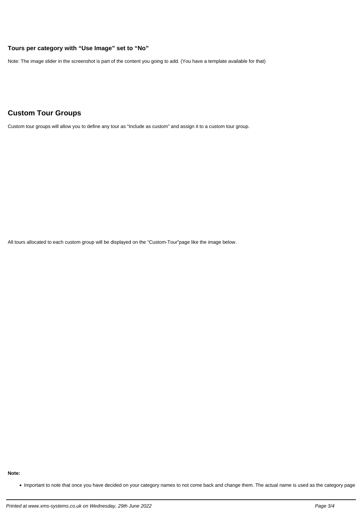## **Tours per category with "Use Image" set to "No"**

Note: The image slider in the screenshot is part of the content you going to add. (You have a template available for that)

## **Custom Tour Groups**

Custom tour groups will allow you to define any tour as "Include as custom" and assign it to a custom tour group.

All tours allocated to each custom group will be displayed on the "Custom-Tour"page like the image below.

**Note:**

Important to note that once you have decided on your category names to not come back and change them. The actual name is used as the category page